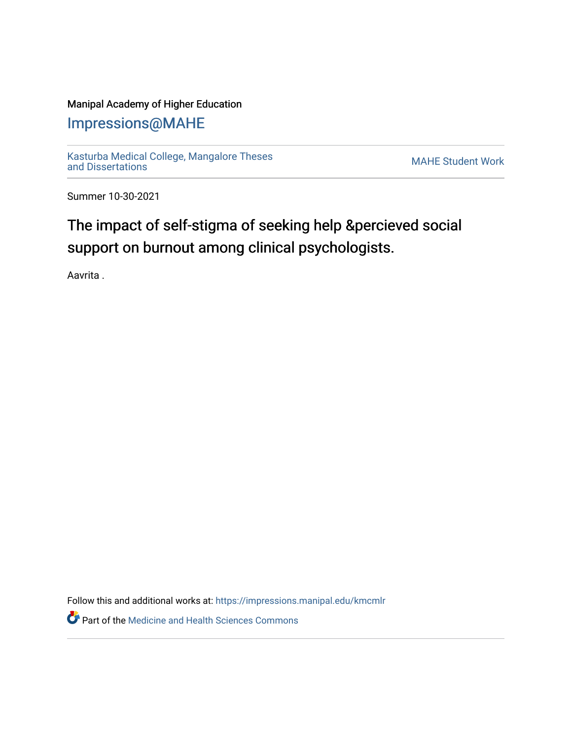### Manipal Academy of Higher Education

## [Impressions@MAHE](https://impressions.manipal.edu/)

[Kasturba Medical College, Mangalore Theses](https://impressions.manipal.edu/kmcmlr) Kasturba Medical College, Mangalore Theses<br>[and Dissertations](https://impressions.manipal.edu/kmcmlr) MAHE Student Work

Summer 10-30-2021

# The impact of self-stigma of seeking help &percieved social support on burnout among clinical psychologists.

Aavrita .

Follow this and additional works at: [https://impressions.manipal.edu/kmcmlr](https://impressions.manipal.edu/kmcmlr?utm_source=impressions.manipal.edu%2Fkmcmlr%2F262&utm_medium=PDF&utm_campaign=PDFCoverPages) 

**Part of the Medicine and Health Sciences Commons**